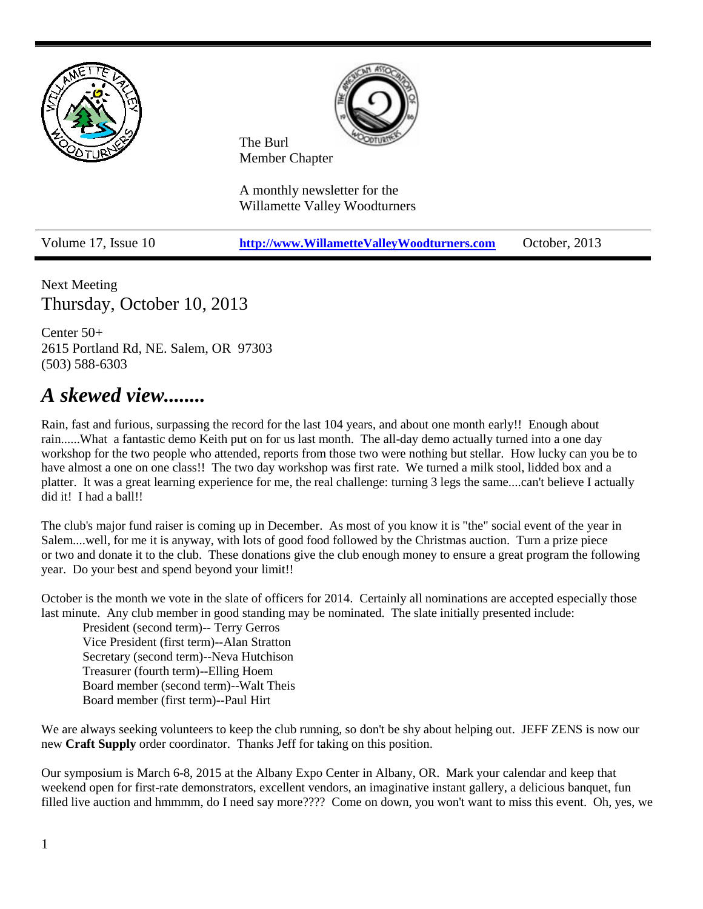

Next Meeting Thursday, October 10, 2013

Center 50+ 2615 Portland Rd, NE. Salem, OR 97303 (503) 588-6303

# *A skewed view........*

Rain, fast and furious, surpassing the record for the last 104 years, and about one month early!! Enough about rain......What a fantastic demo Keith put on for us last month. The all-day demo actually turned into a one day workshop for the two people who attended, reports from those two were nothing but stellar. How lucky can you be to have almost a one on one class!! The two day workshop was first rate. We turned a milk stool, lidded box and a platter. It was a great learning experience for me, the real challenge: turning 3 legs the same....can't believe I actually did it! I had a ball!!

The club's major fund raiser is coming up in December. As most of you know it is "the" social event of the year in Salem....well, for me it is anyway, with lots of good food followed by the Christmas auction. Turn a prize piece or two and donate it to the club. These donations give the club enough money to ensure a great program the following year. Do your best and spend beyond your limit!!

October is the month we vote in the slate of officers for 2014. Certainly all nominations are accepted especially those last minute. Any club member in good standing may be nominated. The slate initially presented include:

President (second term)-- Terry Gerros Vice President (first term)--Alan Stratton Secretary (second term)--Neva Hutchison Treasurer (fourth term)--Elling Hoem Board member (second term)--Walt Theis Board member (first term)--Paul Hirt

We are always seeking volunteers to keep the club running, so don't be shy about helping out. JEFF ZENS is now our new **Craft Supply** order coordinator. Thanks Jeff for taking on this position.

Our symposium is March 6-8, 2015 at the Albany Expo Center in Albany, OR. Mark your calendar and keep that weekend open for first-rate demonstrators, excellent vendors, an imaginative instant gallery, a delicious banquet, fun filled live auction and hmmmm, do I need say more???? Come on down, you won't want to miss this event. Oh, yes, we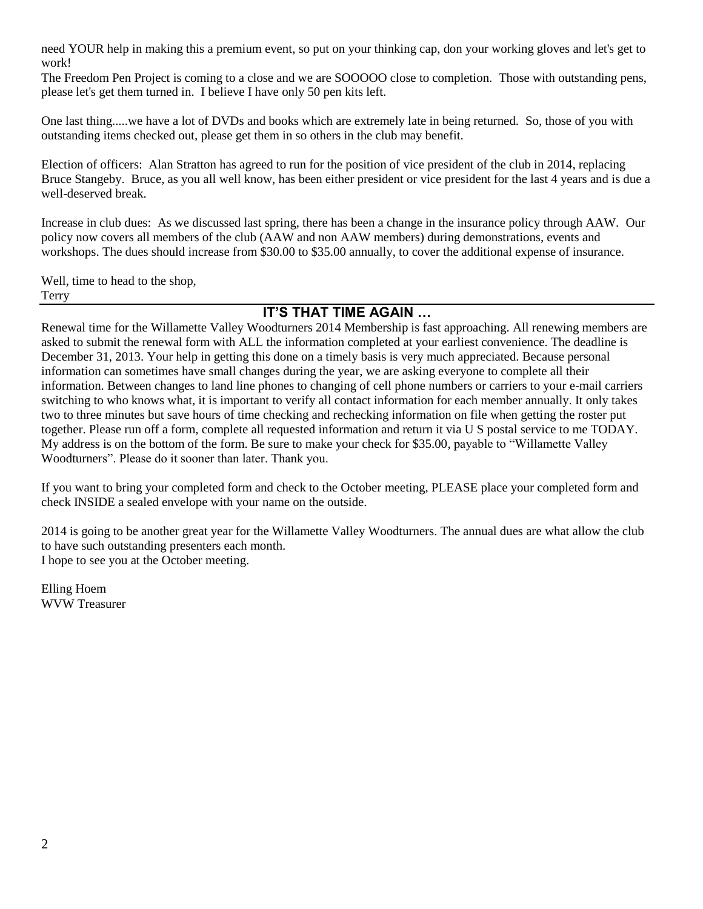need YOUR help in making this a premium event, so put on your thinking cap, don your working gloves and let's get to work!

The Freedom Pen Project is coming to a close and we are SOOOOO close to completion. Those with outstanding pens, please let's get them turned in. I believe I have only 50 pen kits left.

One last thing.....we have a lot of DVDs and books which are extremely late in being returned. So, those of you with outstanding items checked out, please get them in so others in the club may benefit.

Election of officers: Alan Stratton has agreed to run for the position of vice president of the club in 2014, replacing Bruce Stangeby. Bruce, as you all well know, has been either president or vice president for the last 4 years and is due a well-deserved break.

Increase in club dues: As we discussed last spring, there has been a change in the insurance policy through AAW. Our policy now covers all members of the club (AAW and non AAW members) during demonstrations, events and workshops. The dues should increase from \$30.00 to \$35.00 annually, to cover the additional expense of insurance.

Well, time to head to the shop, Terry

#### **IT'S THAT TIME AGAIN …**

Renewal time for the Willamette Valley Woodturners 2014 Membership is fast approaching. All renewing members are asked to submit the renewal form with ALL the information completed at your earliest convenience. The deadline is December 31, 2013. Your help in getting this done on a timely basis is very much appreciated. Because personal information can sometimes have small changes during the year, we are asking everyone to complete all their information. Between changes to land line phones to changing of cell phone numbers or carriers to your e-mail carriers switching to who knows what, it is important to verify all contact information for each member annually. It only takes two to three minutes but save hours of time checking and rechecking information on file when getting the roster put together. Please run off a form, complete all requested information and return it via U S postal service to me TODAY. My address is on the bottom of the form. Be sure to make your check for \$35.00, payable to "Willamette Valley Woodturners". Please do it sooner than later. Thank you.

If you want to bring your completed form and check to the October meeting, PLEASE place your completed form and check INSIDE a sealed envelope with your name on the outside.

2014 is going to be another great year for the Willamette Valley Woodturners. The annual dues are what allow the club to have such outstanding presenters each month. I hope to see you at the October meeting.

Elling Hoem WVW Treasurer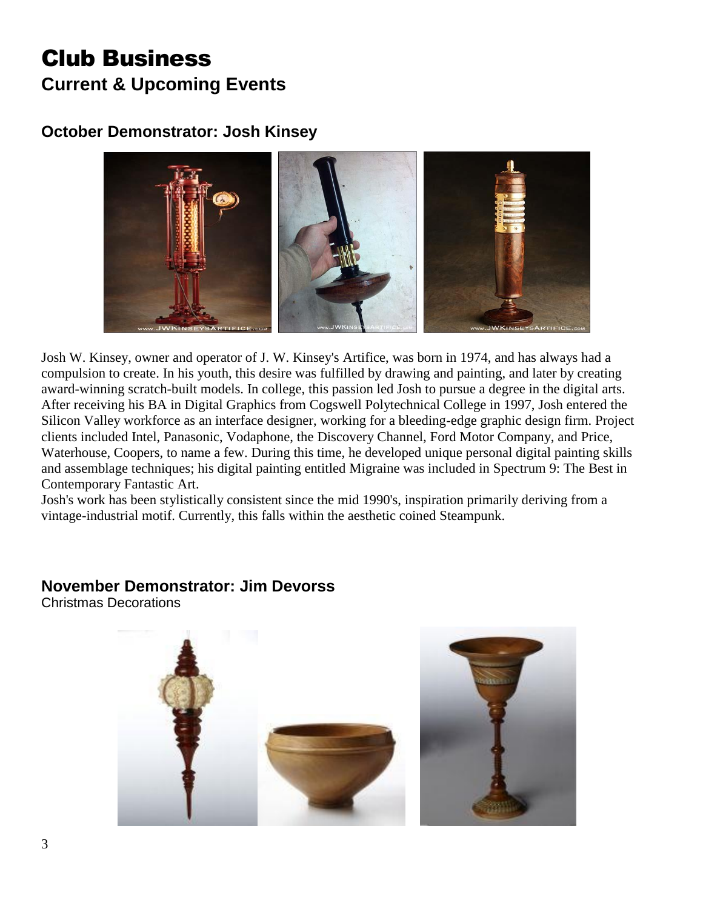# Club Business **Current & Upcoming Events**

## **October Demonstrator: Josh Kinsey**



Josh W. Kinsey, owner and operator of J. W. Kinsey's Artifice, was born in 1974, and has always had a compulsion to create. In his youth, this desire was fulfilled by drawing and painting, and later by creating award-winning scratch-built models. In college, this passion led Josh to pursue a degree in the digital arts. After receiving his BA in Digital Graphics from Cogswell Polytechnical College in 1997, Josh entered the Silicon Valley workforce as an interface designer, working for a bleeding-edge graphic design firm. Project clients included Intel, Panasonic, Vodaphone, the Discovery Channel, Ford Motor Company, and Price, Waterhouse, Coopers, to name a few. During this time, he developed unique personal digital painting skills and assemblage techniques; his digital painting entitled Migraine was included in Spectrum 9: The Best in Contemporary Fantastic Art.

Josh's work has been stylistically consistent since the mid 1990's, inspiration primarily deriving from a vintage-industrial motif. Currently, this falls within the aesthetic coined Steampunk.

## **November Demonstrator: Jim Devorss**

Christmas Decorations

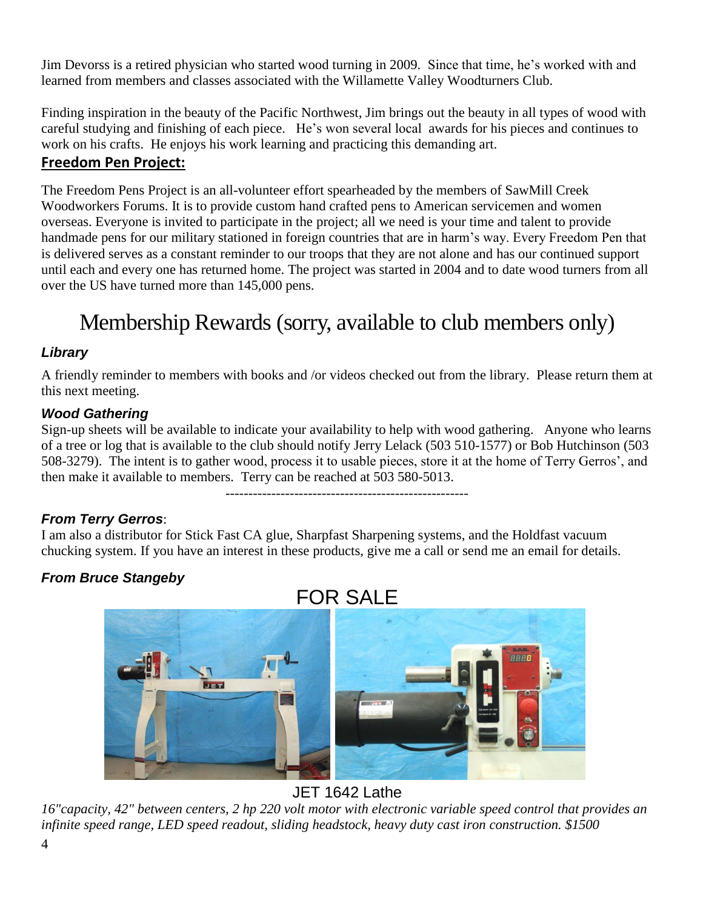Jim Devorss is a retired physician who started wood turning in 2009. Since that time, he's worked with and learned from members and classes associated with the Willamette Valley Woodturners Club.

Finding inspiration in the beauty of the Pacific Northwest, Jim brings out the beauty in all types of wood with careful studying and finishing of each piece. He's won several local awards for his pieces and continues to work on his crafts. He enjoys his work learning and practicing this demanding art.

## **Freedom Pen Project:**

The Freedom Pens Project is an all-volunteer effort spearheaded by the members of SawMill Creek Woodworkers Forums. It is to provide custom hand crafted pens to American servicemen and women overseas. Everyone is invited to participate in the project; all we need is your time and talent to provide handmade pens for our military stationed in foreign countries that are in harm's way. Every Freedom Pen that is delivered serves as a constant reminder to our troops that they are not alone and has our continued support until each and every one has returned home. The project was started in 2004 and to date wood turners from all over the US have turned more than 145,000 pens.

# Membership Rewards (sorry, available to club members only)

#### *Library*

A friendly reminder to members with books and /or videos checked out from the library. Please return them at this next meeting.

#### *Wood Gathering*

Sign-up sheets will be available to indicate your availability to help with wood gathering. Anyone who learns of a tree or log that is available to the club should notify Jerry Lelack (503 510-1577) or Bob Hutchinson (503 508-3279). The intent is to gather wood, process it to usable pieces, store it at the home of Terry Gerros', and then make it available to members. Terry can be reached at 503 580-5013.

-----------------------------------------------------

#### *From Terry Gerros*:

I am also a distributor for Stick Fast CA glue, Sharpfast Sharpening systems, and the Holdfast vacuum chucking system. If you have an interest in these products, give me a call or send me an email for details.

#### *From Bruce Stangeby*



JET 1642 Lathe

*16"capacity, 42" between centers, 2 hp 220 volt motor with electronic variable speed control that provides an infinite speed range, LED speed readout, sliding headstock, heavy duty cast iron construction. \$1500*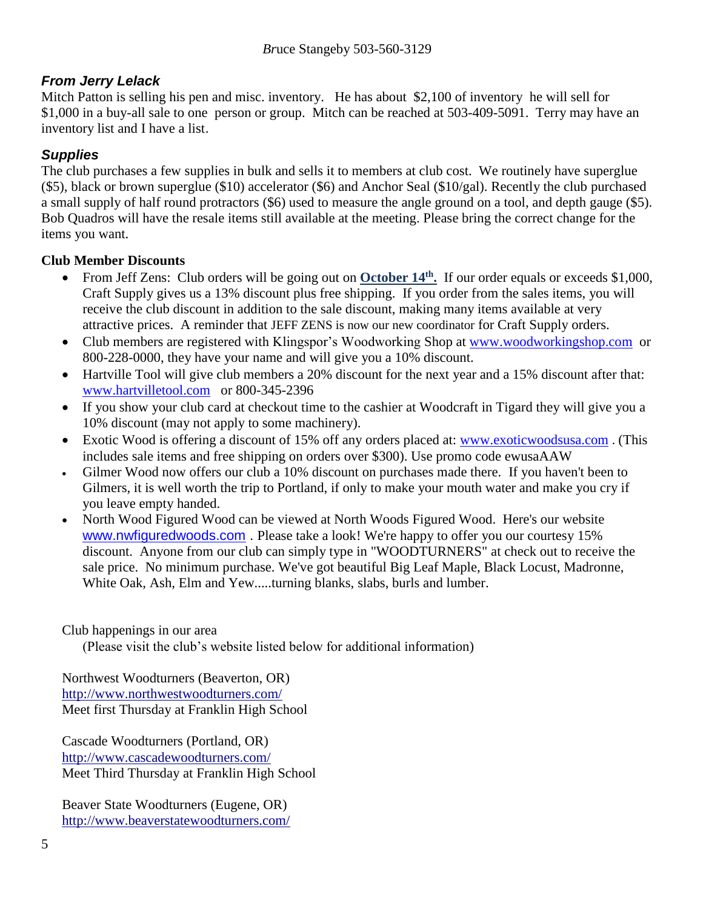#### *From Jerry Lelack*

Mitch Patton is selling his pen and misc. inventory. He has about \$2,100 of inventory he will sell for \$1,000 in a buy-all sale to one person or group. Mitch can be reached at 503-409-5091. Terry may have an inventory list and I have a list.

#### *Supplies*

The club purchases a few supplies in bulk and sells it to members at club cost. We routinely have superglue (\$5), black or brown superglue (\$10) accelerator (\$6) and Anchor Seal (\$10/gal). Recently the club purchased a small supply of half round protractors (\$6) used to measure the angle ground on a tool, and depth gauge (\$5). Bob Quadros will have the resale items still available at the meeting. Please bring the correct change for the items you want.

#### **Club Member Discounts**

- From Jeff Zens: Club orders will be going out on **October 14<sup>th</sup>**. If our order equals or exceeds \$1,000, Craft Supply gives us a 13% discount plus free shipping. If you order from the sales items, you will receive the club discount in addition to the sale discount, making many items available at very attractive prices. A reminder that JEFF ZENS is now our new coordinator for Craft Supply orders.
- Club members are registered with Klingspor's Woodworking Shop at [www.woodworkingshop.com](http://www.woodworkingshop.com/) or 800-228-0000, they have your name and will give you a 10% discount.
- Hartville Tool will give club members a 20% discount for the next year and a 15% discount after that: [www.hartvilletool.com](http://www.hartvilletool.com/) or 800-345-2396
- If you show your club card at checkout time to the cashier at Woodcraft in Tigard they will give you a 10% discount (may not apply to some machinery).
- Exotic Wood is offering a discount of 15% off any orders placed at: [www.exoticwoodsusa.com](http://www.exoticwoodsusa.com/). (This includes sale items and free shipping on orders over \$300). Use promo code ewusaAAW
- Gilmer Wood now offers our club a 10% discount on purchases made there. If you haven't been to Gilmers, it is well worth the trip to Portland, if only to make your mouth water and make you cry if you leave empty handed.
- North Wood Figured Wood can be viewed at North Woods Figured Wood. Here's our website [www.nwfiguredwoods.com](http://www.nwfiguredwoods.com/) . Please take a look! We're happy to offer you our courtesy 15% discount. Anyone from our club can simply type in "WOODTURNERS" at check out to receive the sale price. No minimum purchase. We've got beautiful Big Leaf Maple, Black Locust, Madronne, White Oak, Ash, Elm and Yew.....turning blanks, slabs, burls and lumber.

#### Club happenings in our area

(Please visit the club's website listed below for additional information)

Northwest Woodturners (Beaverton, OR) <http://www.northwestwoodturners.com/> Meet first Thursday at Franklin High School

Cascade Woodturners (Portland, OR) <http://www.cascadewoodturners.com/> Meet Third Thursday at Franklin High School

Beaver State Woodturners (Eugene, OR) <http://www.beaverstatewoodturners.com/>